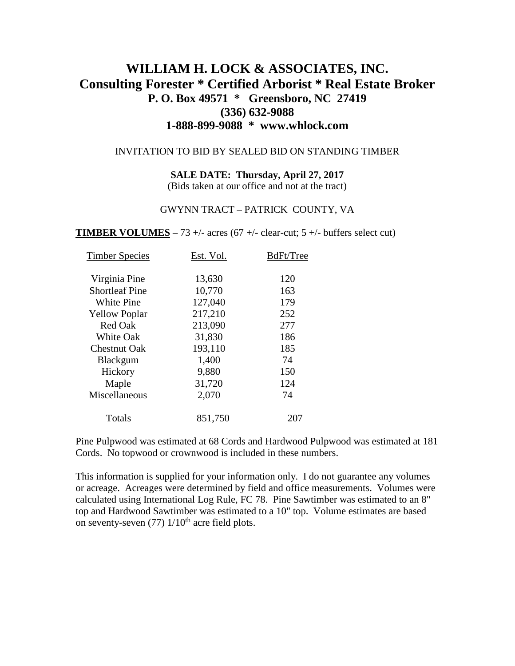# **WILLIAM H. LOCK & ASSOCIATES, INC. Consulting Forester \* Certified Arborist \* Real Estate Broker P. O. Box 49571 \* Greensboro, NC 27419 (336) 632-9088 1-888-899-9088 \* www.whlock.com**

#### INVITATION TO BID BY SEALED BID ON STANDING TIMBER

#### **SALE DATE: Thursday, April 27, 2017**

(Bids taken at our office and not at the tract)

#### GWYNN TRACT – PATRICK COUNTY, VA

**TIMBER VOLUMES** – 73 +/- acres (67 +/- clear-cut; 5 +/- buffers select cut)

| <b>Timber Species</b> | Est. Vol. | BdFt/Tree |
|-----------------------|-----------|-----------|
| Virginia Pine         | 13,630    | 120       |
| <b>Shortleaf Pine</b> | 10,770    | 163       |
| <b>White Pine</b>     | 127,040   | 179       |
| <b>Yellow Poplar</b>  | 217,210   | 252       |
| Red Oak               | 213,090   | 277       |
| <b>White Oak</b>      | 31,830    | 186       |
| <b>Chestnut Oak</b>   | 193,110   | 185       |
| <b>Blackgum</b>       | 1,400     | 74        |
| Hickory               | 9,880     | 150       |
| Maple                 | 31,720    | 124       |
| Miscellaneous         | 2,070     | 74        |
| Totals                | 851,750   | 207       |
|                       |           |           |

Pine Pulpwood was estimated at 68 Cords and Hardwood Pulpwood was estimated at 181 Cords. No topwood or crownwood is included in these numbers.

This information is supplied for your information only. I do not guarantee any volumes or acreage. Acreages were determined by field and office measurements. Volumes were calculated using International Log Rule, FC 78. Pine Sawtimber was estimated to an 8" top and Hardwood Sawtimber was estimated to a 10" top. Volume estimates are based on seventy-seven  $(77)$   $1/10$ <sup>th</sup> acre field plots.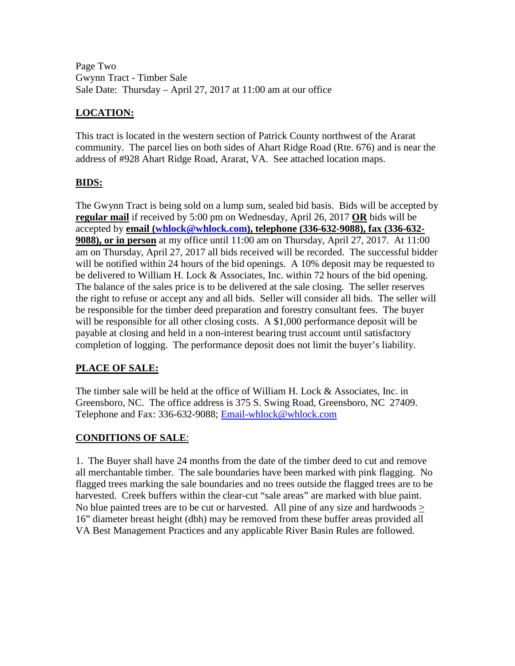Page Two Gwynn Tract - Timber Sale Sale Date: Thursday – April 27, 2017 at 11:00 am at our office

## **LOCATION:**

This tract is located in the western section of Patrick County northwest of the Ararat community. The parcel lies on both sides of Ahart Ridge Road (Rte. 676) and is near the address of #928 Ahart Ridge Road, Ararat, VA. See attached location maps.

### **BIDS:**

The Gwynn Tract is being sold on a lump sum, sealed bid basis. Bids will be accepted by **regular mail** if received by 5:00 pm on Wednesday, April 26, 2017 **OR** bids will be accepted by **email [\(whlock@whlock.com\)](mailto:whlock@whlock.com), telephone (336-632-9088), fax (336-632- 9088), or in person** at my office until 11:00 am on Thursday, April 27, 2017. At 11:00 am on Thursday, April 27, 2017 all bids received will be recorded. The successful bidder will be notified within 24 hours of the bid openings. A 10% deposit may be requested to be delivered to William H. Lock & Associates, Inc. within 72 hours of the bid opening. The balance of the sales price is to be delivered at the sale closing. The seller reserves the right to refuse or accept any and all bids. Seller will consider all bids. The seller will be responsible for the timber deed preparation and forestry consultant fees. The buyer will be responsible for all other closing costs. A \$1,000 performance deposit will be payable at closing and held in a non-interest bearing trust account until satisfactory completion of logging. The performance deposit does not limit the buyer's liability.

### **PLACE OF SALE:**

The timber sale will be held at the office of William H. Lock & Associates, Inc. in Greensboro, NC. The office address is 375 S. Swing Road, Greensboro, NC 27409. Telephone and Fax: 336-632-9088; [Email-whlock@whlock.com](mailto:Email-whlock@whlock.com)

### **CONDITIONS OF SALE**:

1. The Buyer shall have 24 months from the date of the timber deed to cut and remove all merchantable timber. The sale boundaries have been marked with pink flagging. No flagged trees marking the sale boundaries and no trees outside the flagged trees are to be harvested. Creek buffers within the clear-cut "sale areas" are marked with blue paint. No blue painted trees are to be cut or harvested. All pine of any size and hardwoods > 16" diameter breast height (dbh) may be removed from these buffer areas provided all VA Best Management Practices and any applicable River Basin Rules are followed.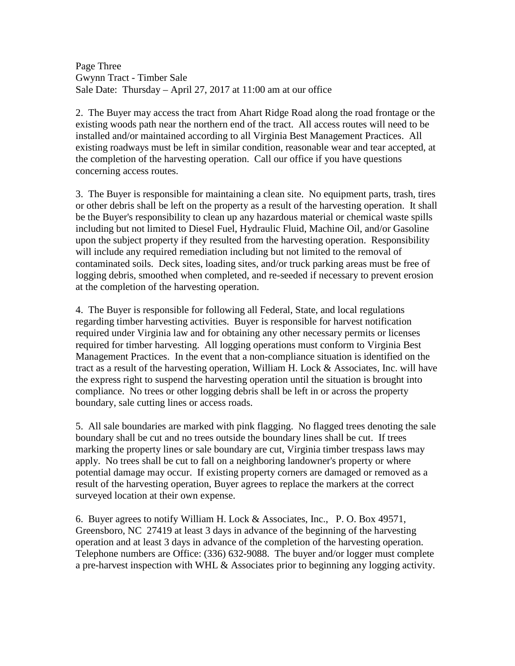Page Three Gwynn Tract - Timber Sale Sale Date: Thursday – April 27, 2017 at 11:00 am at our office

2. The Buyer may access the tract from Ahart Ridge Road along the road frontage or the existing woods path near the northern end of the tract. All access routes will need to be installed and/or maintained according to all Virginia Best Management Practices. All existing roadways must be left in similar condition, reasonable wear and tear accepted, at the completion of the harvesting operation. Call our office if you have questions concerning access routes.

3. The Buyer is responsible for maintaining a clean site. No equipment parts, trash, tires or other debris shall be left on the property as a result of the harvesting operation. It shall be the Buyer's responsibility to clean up any hazardous material or chemical waste spills including but not limited to Diesel Fuel, Hydraulic Fluid, Machine Oil, and/or Gasoline upon the subject property if they resulted from the harvesting operation. Responsibility will include any required remediation including but not limited to the removal of contaminated soils. Deck sites, loading sites, and/or truck parking areas must be free of logging debris, smoothed when completed, and re-seeded if necessary to prevent erosion at the completion of the harvesting operation.

4. The Buyer is responsible for following all Federal, State, and local regulations regarding timber harvesting activities. Buyer is responsible for harvest notification required under Virginia law and for obtaining any other necessary permits or licenses required for timber harvesting. All logging operations must conform to Virginia Best Management Practices. In the event that a non-compliance situation is identified on the tract as a result of the harvesting operation, William H. Lock & Associates, Inc. will have the express right to suspend the harvesting operation until the situation is brought into compliance. No trees or other logging debris shall be left in or across the property boundary, sale cutting lines or access roads.

5. All sale boundaries are marked with pink flagging. No flagged trees denoting the sale boundary shall be cut and no trees outside the boundary lines shall be cut. If trees marking the property lines or sale boundary are cut, Virginia timber trespass laws may apply. No trees shall be cut to fall on a neighboring landowner's property or where potential damage may occur. If existing property corners are damaged or removed as a result of the harvesting operation, Buyer agrees to replace the markers at the correct surveyed location at their own expense.

6. Buyer agrees to notify William H. Lock & Associates, Inc., P. O. Box 49571, Greensboro, NC 27419 at least 3 days in advance of the beginning of the harvesting operation and at least 3 days in advance of the completion of the harvesting operation. Telephone numbers are Office: (336) 632-9088. The buyer and/or logger must complete a pre-harvest inspection with WHL & Associates prior to beginning any logging activity.